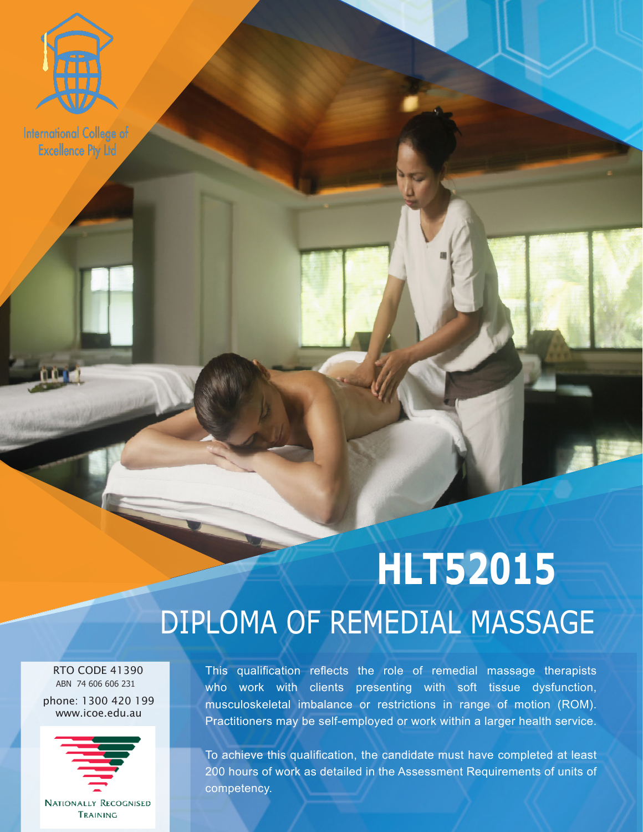

**International College of Excellence Pty Ltd** 

# **HLT52015** DIPLOMA OF REMEDIAL MASSAGE

**EXCELLENCE PTY LTD** 

 RTO CODE 41390 ABN 74 606 606 231

phone: 1300 420 199 www.icoe.edu.au



**NATIONALLY RECOGNISED** TRAINING

This qualification reflects the role of remedial massage therapists who work with clients presenting with soft tissue dysfunction, musculoskeletal imbalance or restrictions in range of motion (ROM). Practitioners may be self-employed or work within a larger health service.

To achieve this qualification, the candidate must have completed at least 200 hours of work as detailed in the Assessment Requirements of units of competency.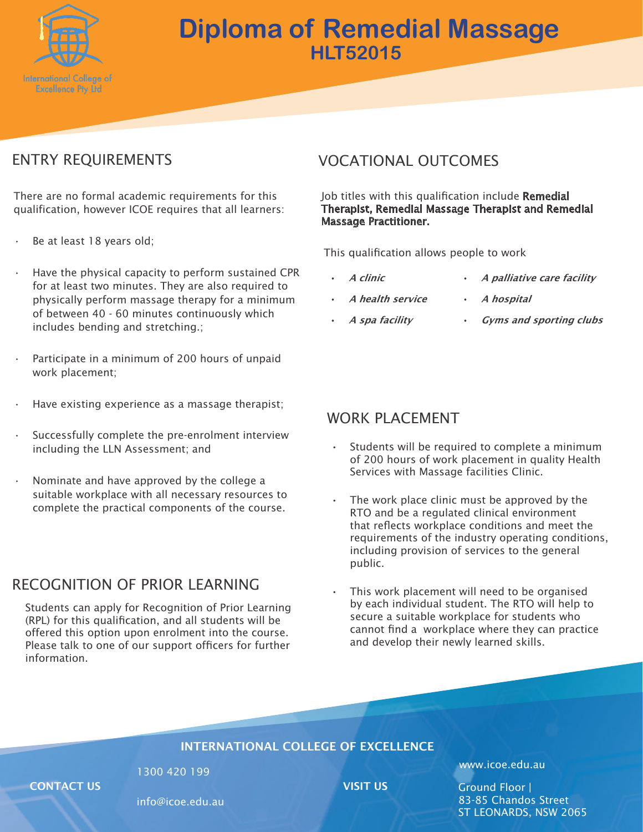

## **Diploma of Remedial Massage HLT52015**

### ENTRY REQUIREMENTS

There are no formal academic requirements for this qualification, however ICOE requires that all learners:

- Be at least 18 years old;
- Have the physical capacity to perform sustained CPR for at least two minutes. They are also required to physically perform massage therapy for a minimum of between 40 - 60 minutes continuously which includes bending and stretching.;
- Participate in a minimum of 200 hours of unpaid work placement;
- Have existing experience as a massage therapist;
- Successfully complete the pre-enrolment interview including the LLN Assessment; and
- Nominate and have approved by the college a suitable workplace with all necessary resources to complete the practical components of the course.

#### RECOGNITION OF PRIOR LEARNING

Students can apply for Recognition of Prior Learning (RPL) for this qualification, and all students will be offered this option upon enrolment into the course. Please talk to one of our support officers for further information.

#### VOCATIONAL OUTCOMES

Job titles with this qualification include Remedial Therapist, Remedial Massage Therapist and Remedial Massage Practitioner.

This qualification allows people to work

- A clinic
- A health service
- A palliative care facility
- A hospital
- A spa facility • Gyms and sporting clubs

#### WORK PLACEMENT

- Students will be required to complete a minimum of 200 hours of work placement in quality Health Services with Massage facilities Clinic.
- The work place clinic must be approved by the RTO and be a regulated clinical environment that reflects workplace conditions and meet the requirements of the industry operating conditions, including provision of services to the general public.
- This work placement will need to be organised by each individual student. The RTO will help to secure a suitable workplace for students who cannot find a workplace where they can practice and develop their newly learned skills.

#### INTERNATIONAL COLLEGE OF EXCELLENCE

**CONTACT US CONTACT US CONTACT US** 

info@icoe.edu.au

1300 420 199 www.icoe.edu.au

Ground Floor | 83-85 Chandos Street ST LEONARDS, NSW 2065